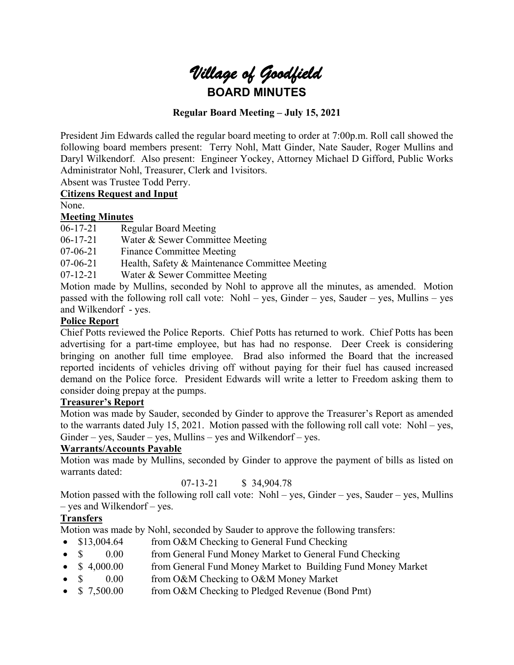

## **Regular Board Meeting – July 15, 2021**

President Jim Edwards called the regular board meeting to order at 7:00p.m. Roll call showed the following board members present: Terry Nohl, Matt Ginder, Nate Sauder, Roger Mullins and Daryl Wilkendorf. Also present: Engineer Yockey, Attorney Michael D Gifford, Public Works Administrator Nohl, Treasurer, Clerk and 1visitors.

Absent was Trustee Todd Perry.

## **Citizens Request and Input**

None.

## **Meeting Minutes**

06-17-21 Regular Board Meeting

06-17-21 Water & Sewer Committee Meeting

07-06-21 Finance Committee Meeting

07-06-21 Health, Safety & Maintenance Committee Meeting

07-12-21 Water & Sewer Committee Meeting

Motion made by Mullins, seconded by Nohl to approve all the minutes, as amended. Motion passed with the following roll call vote: Nohl – yes, Ginder – yes, Sauder – yes, Mullins – yes and Wilkendorf - yes.

### **Police Report**

Chief Potts reviewed the Police Reports. Chief Potts has returned to work. Chief Potts has been advertising for a part-time employee, but has had no response. Deer Creek is considering bringing on another full time employee. Brad also informed the Board that the increased reported incidents of vehicles driving off without paying for their fuel has caused increased demand on the Police force. President Edwards will write a letter to Freedom asking them to consider doing prepay at the pumps.

### **Treasurer's Report**

Motion was made by Sauder, seconded by Ginder to approve the Treasurer's Report as amended to the warrants dated July 15, 2021. Motion passed with the following roll call vote: Nohl – yes,  $Ginder - yes$ , Sauder – yes, Mullins – yes and Wilkendorf – yes.

### **Warrants/Accounts Payable**

Motion was made by Mullins, seconded by Ginder to approve the payment of bills as listed on warrants dated:

07-13-21 \$ 34,904.78

Motion passed with the following roll call vote: Nohl – yes, Ginder – yes, Sauder – yes, Mullins – yes and Wilkendorf – yes.

## **Transfers**

Motion was made by Nohl, seconded by Sauder to approve the following transfers:

- \$13,004.64 from O&M Checking to General Fund Checking
- \$ 0.00 from General Fund Money Market to General Fund Checking
- \$4,000.00 from General Fund Money Market to Building Fund Money Market
- \$ 0.00 from O&M Checking to O&M Money Market
- \$ 7,500.00 from O&M Checking to Pledged Revenue (Bond Pmt)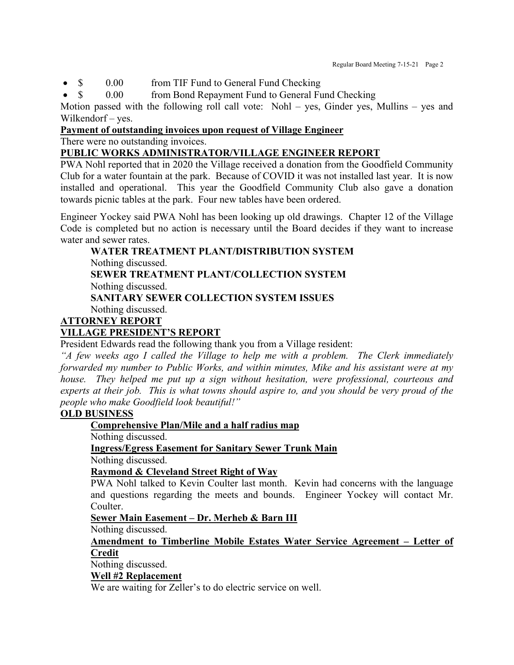• \$ 0.00 from TIF Fund to General Fund Checking

• \$ 0.00 from Bond Repayment Fund to General Fund Checking

Motion passed with the following roll call vote: Nohl – yes, Ginder yes, Mullins – yes and Wilkendorf – yes.

## **Payment of outstanding invoices upon request of Village Engineer**

There were no outstanding invoices.

## **PUBLIC WORKS ADMINISTRATOR/VILLAGE ENGINEER REPORT**

PWA Nohl reported that in 2020 the Village received a donation from the Goodfield Community Club for a water fountain at the park. Because of COVID it was not installed last year. It is now installed and operational. This year the Goodfield Community Club also gave a donation towards picnic tables at the park. Four new tables have been ordered.

Engineer Yockey said PWA Nohl has been looking up old drawings. Chapter 12 of the Village Code is completed but no action is necessary until the Board decides if they want to increase water and sewer rates.

### **WATER TREATMENT PLANT/DISTRIBUTION SYSTEM** Nothing discussed. **SEWER TREATMENT PLANT/COLLECTION SYSTEM** Nothing discussed.

**SANITARY SEWER COLLECTION SYSTEM ISSUES**

Nothing discussed.

# **ATTORNEY REPORT**

# **VILLAGE PRESIDENT'S REPORT**

President Edwards read the following thank you from a Village resident:

*"A few weeks ago I called the Village to help me with a problem. The Clerk immediately forwarded my number to Public Works, and within minutes, Mike and his assistant were at my house. They helped me put up a sign without hesitation, were professional, courteous and experts at their job. This is what towns should aspire to, and you should be very proud of the people who make Goodfield look beautiful!"* 

## **OLD BUSINESS**

### **Comprehensive Plan/Mile and a half radius map**

Nothing discussed.

## **Ingress/Egress Easement for Sanitary Sewer Trunk Main**

Nothing discussed.

## **Raymond & Cleveland Street Right of Way**

PWA Nohl talked to Kevin Coulter last month. Kevin had concerns with the language and questions regarding the meets and bounds. Engineer Yockey will contact Mr. Coulter.

### **Sewer Main Easement – Dr. Merheb & Barn III**

Nothing discussed.

#### **Amendment to Timberline Mobile Estates Water Service Agreement – Letter of Credit**

Nothing discussed.

### **Well #2 Replacement**

We are waiting for Zeller's to do electric service on well.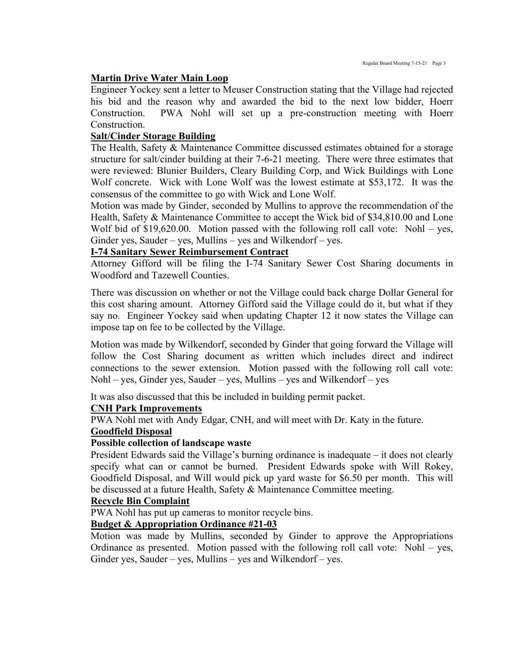### **Martin Drive Water Main Loop**

Engineer Yockey sent a letter to Meuser Construction stating that the Village had rejected his bid and the reason why and awarded the bid to the next low bidder, Hoerr Construction. PWA Nohl will set up a pre-construction meeting with Hoerr Construction.

### **Salt/Cinder Storage Building**

The Health, Safety & Maintenance Committee discussed estimates obtained for a storage structure for salt/cinder building at their 7-6-21 meeting. There were three estimates that were reviewed: Blunier Builders, Cleary Building Corp, and Wick Buildings with Lone Wolf concrete. Wick with Lone Wolf was the lowest estimate at \$53,172. It was the consensus of the committee to go with Wick and Lone Wolf.

Motion was made by Ginder, seconded by Mullins to approve the recommendation of the Health, Safety & Maintenance Committee to accept the Wick bid of \$34,810.00 and Lone Wolf bid of \$19,620.00. Motion passed with the following roll call vote: Nohl – yes, Ginder yes, Sauder – yes, Mullins – yes and Wilkendorf – yes.

### **I-74 Sanitary Sewer Reimbursement Contract**

Attorney Gifford will be filing the I-74 Sanitary Sewer Cost Sharing documents in Woodford and Tazewell Counties.

There was discussion on whether or not the Village could back charge Dollar General for this cost sharing amount. Attorney Gifford said the Village could do it, but what if they say no. Engineer Yockey said when updating Chapter 12 it now states the Village can impose tap on fee to be collected by the Village.

Motion was made by Wilkendorf, seconded by Ginder that going forward the Village will follow the Cost Sharing document as written which includes direct and indirect connections to the sewer extension. Motion passed with the following roll call vote: Nohl – yes, Ginder yes, Sauder – yes, Mullins – yes and Wilkendorf – yes

It was also discussed that this be included in building permit packet.

### **CNH Park Improvements**

PWA Nohl met with Andy Edgar, CNH, and will meet with Dr. Katy in the future.

#### **Goodfield Disposal**

#### **Possible collection of landscape waste**

President Edwards said the Village's burning ordinance is inadequate – it does not clearly specify what can or cannot be burned. President Edwards spoke with Will Rokey, Goodfield Disposal, and Will would pick up yard waste for \$6.50 per month. This will be discussed at a future Health, Safety & Maintenance Committee meeting.

## **Recycle Bin Complaint**

PWA Nohl has put up cameras to monitor recycle bins.

### **Budget & Appropriation Ordinance #21-03**

Motion was made by Mullins, seconded by Ginder to approve the Appropriations Ordinance as presented. Motion passed with the following roll call vote: Nohl – yes, Ginder yes, Sauder – yes, Mullins – yes and Wilkendorf – yes.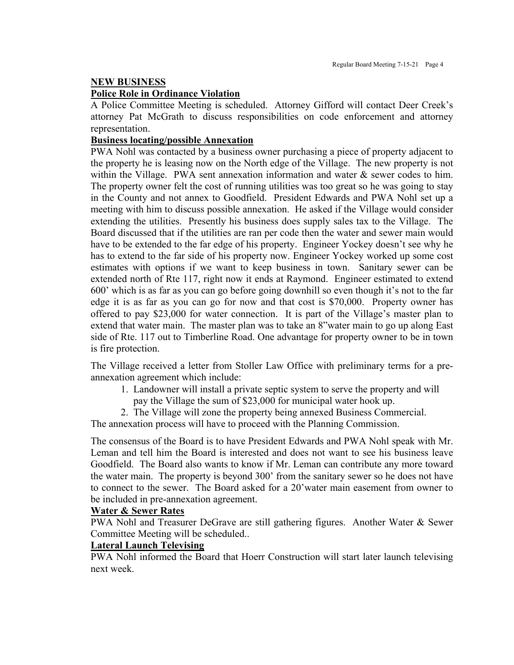#### **NEW BUSINESS**

#### **Police Role in Ordinance Violation**

A Police Committee Meeting is scheduled. Attorney Gifford will contact Deer Creek's attorney Pat McGrath to discuss responsibilities on code enforcement and attorney representation.

#### **Business locating/possible Annexation**

PWA Nohl was contacted by a business owner purchasing a piece of property adjacent to the property he is leasing now on the North edge of the Village. The new property is not within the Village. PWA sent annexation information and water & sewer codes to him. The property owner felt the cost of running utilities was too great so he was going to stay in the County and not annex to Goodfield. President Edwards and PWA Nohl set up a meeting with him to discuss possible annexation. He asked if the Village would consider extending the utilities. Presently his business does supply sales tax to the Village. The Board discussed that if the utilities are ran per code then the water and sewer main would have to be extended to the far edge of his property. Engineer Yockey doesn't see why he has to extend to the far side of his property now. Engineer Yockey worked up some cost estimates with options if we want to keep business in town. Sanitary sewer can be extended north of Rte 117, right now it ends at Raymond. Engineer estimated to extend 600' which is as far as you can go before going downhill so even though it's not to the far edge it is as far as you can go for now and that cost is \$70,000. Property owner has offered to pay \$23,000 for water connection. It is part of the Village's master plan to extend that water main. The master plan was to take an 8"water main to go up along East side of Rte. 117 out to Timberline Road. One advantage for property owner to be in town is fire protection.

The Village received a letter from Stoller Law Office with preliminary terms for a preannexation agreement which include:

- 1. Landowner will install a private septic system to serve the property and will
- pay the Village the sum of \$23,000 for municipal water hook up.
- 2. The Village will zone the property being annexed Business Commercial.

The annexation process will have to proceed with the Planning Commission.

The consensus of the Board is to have President Edwards and PWA Nohl speak with Mr. Leman and tell him the Board is interested and does not want to see his business leave Goodfield. The Board also wants to know if Mr. Leman can contribute any more toward the water main. The property is beyond 300' from the sanitary sewer so he does not have to connect to the sewer. The Board asked for a 20'water main easement from owner to be included in pre-annexation agreement.

#### **Water & Sewer Rates**

PWA Nohl and Treasurer DeGrave are still gathering figures. Another Water & Sewer Committee Meeting will be scheduled..

#### **Lateral Launch Televising**

PWA Nohl informed the Board that Hoerr Construction will start later launch televising next week.